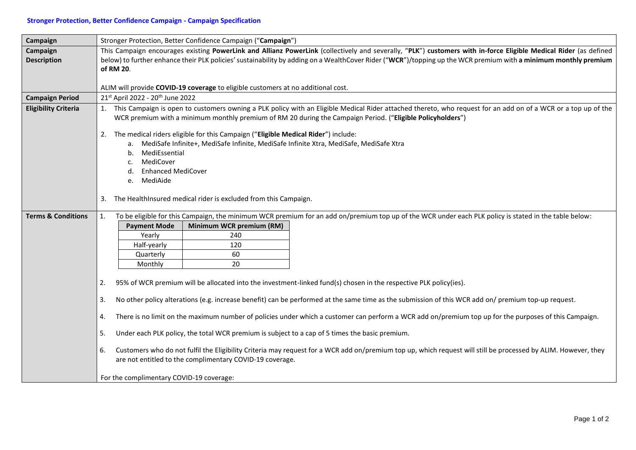## **Stronger Protection, Better Confidence Campaign - Campaign Specification**

| Campaign                       | Stronger Protection, Better Confidence Campaign ("Campaign")                                                                                                                                                                                                                                                                        |
|--------------------------------|-------------------------------------------------------------------------------------------------------------------------------------------------------------------------------------------------------------------------------------------------------------------------------------------------------------------------------------|
| Campaign<br><b>Description</b> | This Campaign encourages existing PowerLink and Allianz PowerLink (collectively and severally, "PLK") customers with in-force Eligible Medical Rider (as defined<br>below) to further enhance their PLK policies' sustainability by adding on a WealthCover Rider ("WCR")/topping up the WCR premium with a minimum monthly premium |
|                                | of RM 20.                                                                                                                                                                                                                                                                                                                           |
|                                | ALIM will provide COVID-19 coverage to eligible customers at no additional cost.                                                                                                                                                                                                                                                    |
|                                | 21st April 2022 - 20 <sup>th</sup> June 2022                                                                                                                                                                                                                                                                                        |
| <b>Campaign Period</b>         | 1. This Campaign is open to customers owning a PLK policy with an Eligible Medical Rider attached thereto, who request for an add on of a WCR or a top up of the                                                                                                                                                                    |
| <b>Eligibility Criteria</b>    | WCR premium with a minimum monthly premium of RM 20 during the Campaign Period. ("Eligible Policyholders")                                                                                                                                                                                                                          |
|                                | The medical riders eligible for this Campaign ("Eligible Medical Rider") include:<br>2.                                                                                                                                                                                                                                             |
|                                | a. MediSafe Infinite+, MediSafe Infinite, MediSafe Infinite Xtra, MediSafe, MediSafe Xtra                                                                                                                                                                                                                                           |
|                                | MediEssential<br>b.                                                                                                                                                                                                                                                                                                                 |
|                                | MediCover                                                                                                                                                                                                                                                                                                                           |
|                                | <b>Enhanced MediCover</b>                                                                                                                                                                                                                                                                                                           |
|                                | e. MediAide                                                                                                                                                                                                                                                                                                                         |
|                                | The HealthInsured medical rider is excluded from this Campaign.<br>3.                                                                                                                                                                                                                                                               |
| <b>Terms &amp; Conditions</b>  | To be eligible for this Campaign, the minimum WCR premium for an add on/premium top up of the WCR under each PLK policy is stated in the table below:<br>1.                                                                                                                                                                         |
|                                | Minimum WCR premium (RM)<br><b>Payment Mode</b>                                                                                                                                                                                                                                                                                     |
|                                | 240<br>Yearly                                                                                                                                                                                                                                                                                                                       |
|                                | Half-yearly<br>120                                                                                                                                                                                                                                                                                                                  |
|                                | 60<br>Quarterly                                                                                                                                                                                                                                                                                                                     |
|                                | Monthly<br>20                                                                                                                                                                                                                                                                                                                       |
|                                | 95% of WCR premium will be allocated into the investment-linked fund(s) chosen in the respective PLK policy(ies).<br>2.                                                                                                                                                                                                             |
|                                | No other policy alterations (e.g. increase benefit) can be performed at the same time as the submission of this WCR add on/ premium top-up request.<br>3.                                                                                                                                                                           |
|                                | There is no limit on the maximum number of policies under which a customer can perform a WCR add on/premium top up for the purposes of this Campaign.<br>4.                                                                                                                                                                         |
|                                | Under each PLK policy, the total WCR premium is subject to a cap of 5 times the basic premium.<br>5.                                                                                                                                                                                                                                |
|                                | Customers who do not fulfil the Eligibility Criteria may request for a WCR add on/premium top up, which request will still be processed by ALIM. However, they<br>6.<br>are not entitled to the complimentary COVID-19 coverage.                                                                                                    |
|                                | For the complimentary COVID-19 coverage:                                                                                                                                                                                                                                                                                            |